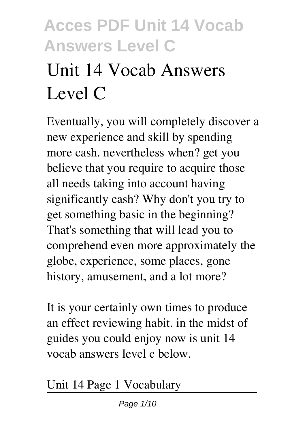# **Unit 14 Vocab Answers Level C**

Eventually, you will completely discover a new experience and skill by spending more cash. nevertheless when? get you believe that you require to acquire those all needs taking into account having significantly cash? Why don't you try to get something basic in the beginning? That's something that will lead you to comprehend even more approximately the globe, experience, some places, gone history, amusement, and a lot more?

It is your certainly own times to produce an effect reviewing habit. in the midst of guides you could enjoy now is **unit 14 vocab answers level c** below.

*Unit 14 Page 1 Vocabulary*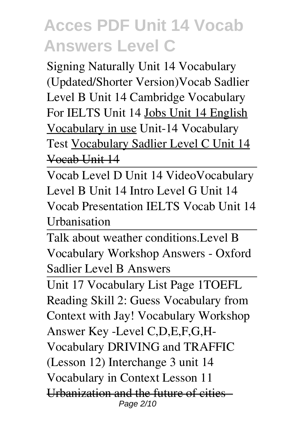Signing Naturally Unit 14 Vocabulary (Updated/Shorter Version)*Vocab Sadlier Level B Unit 14* Cambridge Vocabulary For IELTS Unit 14 Jobs Unit 14 English Vocabulary in use Unit-14 Vocabulary Test Vocabulary Sadlier Level C Unit 14 Vocab Unit 14

Vocab Level D Unit 14 Video**Vocabulary Level B Unit 14 Intro** *Level G Unit 14 Vocab Presentation* IELTS Vocab Unit 14 Urbanisation

Talk about weather conditions.*Level B Vocabulary Workshop Answers - Oxford Sadlier Level B Answers*

Unit 17 Vocabulary List Page 1*TOEFL Reading Skill 2: Guess Vocabulary from Context with Jay!* **Vocabulary Workshop Answer Key -Level C,D,E,F,G,H-***Vocabulary DRIVING and TRAFFIC (Lesson 12) Interchange 3 unit 14 Vocabulary in Context Lesson 11* Urbanization and the future of cities -Page 2/10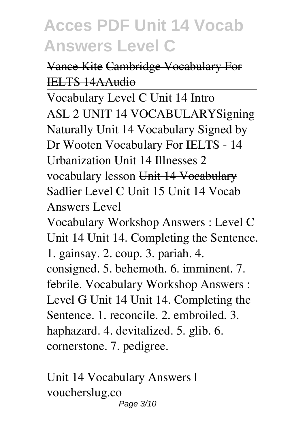#### Vance Kite Cambridge Vocabulary For IELTS 14AAudio

Vocabulary Level C Unit 14 Intro ASL 2 UNIT 14 VOCABULARY**Signing Naturally Unit 14 Vocabulary Signed by Dr Wooten Vocabulary For IELTS - 14 Urbanization** *Unit 14 Illnesses 2 vocabulary lesson* Unit 14 Vocabulary *Sadlier Level C Unit 15* Unit 14 Vocab Answers Level Vocabulary Workshop Answers : Level C

Unit 14 Unit 14. Completing the Sentence. 1. gainsay. 2. coup. 3. pariah. 4.

consigned. 5. behemoth. 6. imminent. 7. febrile. Vocabulary Workshop Answers : Level G Unit 14 Unit 14. Completing the Sentence. 1. reconcile. 2. embroiled. 3. haphazard. 4. devitalized. 5. glib. 6. cornerstone. 7. pedigree.

Unit 14 Vocabulary Answers | voucherslug.co Page 3/10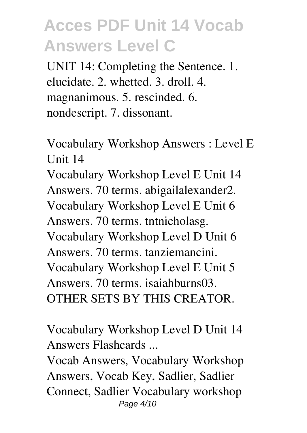UNIT 14: Completing the Sentence. 1. elucidate. 2. whetted. 3. droll. 4. magnanimous. 5. rescinded. 6. nondescript. 7. dissonant.

Vocabulary Workshop Answers : Level E Unit 14

Vocabulary Workshop Level E Unit 14 Answers. 70 terms. abigailalexander2. Vocabulary Workshop Level E Unit 6 Answers. 70 terms. tntnicholasg. Vocabulary Workshop Level D Unit 6 Answers. 70 terms. tanziemancini. Vocabulary Workshop Level E Unit 5 Answers. 70 terms. isaiahburns03. OTHER SETS BY THIS CREATOR.

Vocabulary Workshop Level D Unit 14 Answers Flashcards ...

Vocab Answers, Vocabulary Workshop Answers, Vocab Key, Sadlier, Sadlier Connect, Sadlier Vocabulary workshop Page 4/10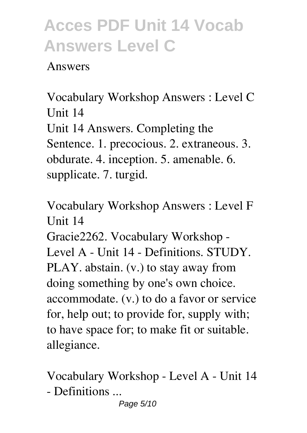#### Answers

Vocabulary Workshop Answers : Level C Unit 14 Unit 14 Answers. Completing the Sentence. 1. precocious. 2. extraneous. 3. obdurate. 4. inception. 5. amenable. 6. supplicate. 7. turgid.

Vocabulary Workshop Answers : Level F Unit 14

Gracie2262. Vocabulary Workshop - Level A - Unit 14 - Definitions. STUDY. PLAY. abstain. (v.) to stay away from doing something by one's own choice. accommodate. (v.) to do a favor or service for, help out; to provide for, supply with; to have space for; to make fit or suitable. allegiance.

Vocabulary Workshop - Level A - Unit 14 - Definitions ...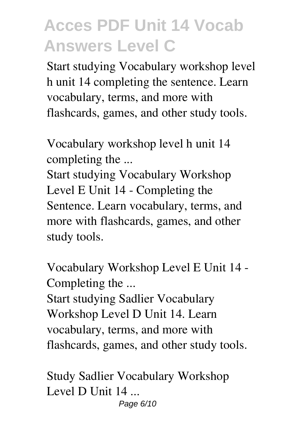Start studying Vocabulary workshop level h unit 14 completing the sentence. Learn vocabulary, terms, and more with flashcards, games, and other study tools.

Vocabulary workshop level h unit 14 completing the ...

Start studying Vocabulary Workshop Level E Unit 14 - Completing the Sentence. Learn vocabulary, terms, and more with flashcards, games, and other study tools.

Vocabulary Workshop Level E Unit 14 - Completing the ...

Start studying Sadlier Vocabulary Workshop Level D Unit 14. Learn vocabulary, terms, and more with flashcards, games, and other study tools.

Study Sadlier Vocabulary Workshop Level D Unit 14 ... Page 6/10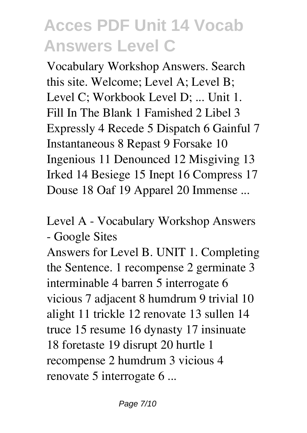Vocabulary Workshop Answers. Search this site. Welcome; Level A; Level B; Level C; Workbook Level D; ... Unit 1. Fill In The Blank 1 Famished 2 Libel 3 Expressly 4 Recede 5 Dispatch 6 Gainful 7 Instantaneous 8 Repast 9 Forsake 10 Ingenious 11 Denounced 12 Misgiving 13 Irked 14 Besiege 15 Inept 16 Compress 17 Douse 18 Oaf 19 Apparel 20 Immense ...

Level A - Vocabulary Workshop Answers - Google Sites

Answers for Level B. UNIT 1. Completing the Sentence. 1 recompense 2 germinate 3 interminable 4 barren 5 interrogate 6 vicious 7 adjacent 8 humdrum 9 trivial 10 alight 11 trickle 12 renovate 13 sullen 14 truce 15 resume 16 dynasty 17 insinuate 18 foretaste 19 disrupt 20 hurtle 1 recompense 2 humdrum 3 vicious 4 renovate 5 interrogate 6 ...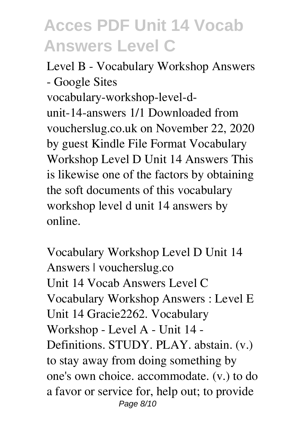Level B - Vocabulary Workshop Answers - Google Sites vocabulary-workshop-level-dunit-14-answers 1/1 Downloaded from voucherslug.co.uk on November 22, 2020 by guest Kindle File Format Vocabulary Workshop Level D Unit 14 Answers This is likewise one of the factors by obtaining the soft documents of this vocabulary workshop level d unit 14 answers by online.

Vocabulary Workshop Level D Unit 14 Answers | voucherslug.co Unit 14 Vocab Answers Level C Vocabulary Workshop Answers : Level E Unit 14 Gracie2262. Vocabulary Workshop - Level A - Unit 14 - Definitions. STUDY. PLAY. abstain. (v.) to stay away from doing something by one's own choice. accommodate. (v.) to do a favor or service for, help out; to provide Page 8/10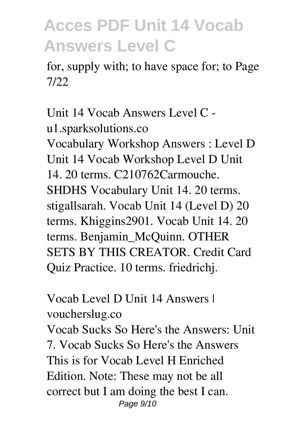for, supply with; to have space for; to Page 7/22

Unit 14 Vocab Answers Level C u1.sparksolutions.co Vocabulary Workshop Answers : Level D Unit 14 Vocab Workshop Level D Unit 14. 20 terms. C210762Carmouche. SHDHS Vocabulary Unit 14. 20 terms. stigallsarah. Vocab Unit 14 (Level D) 20 terms. Khiggins2901. Vocab Unit 14. 20 terms. Benjamin\_McQuinn. OTHER SETS BY THIS CREATOR. Credit Card Quiz Practice. 10 terms. friedrichj.

Vocab Level D Unit 14 Answers | voucherslug.co Vocab Sucks So Here's the Answers: Unit 7. Vocab Sucks So Here's the Answers This is for Vocab Level H Enriched Edition. Note: These may not be all correct but I am doing the best I can. Page 9/10